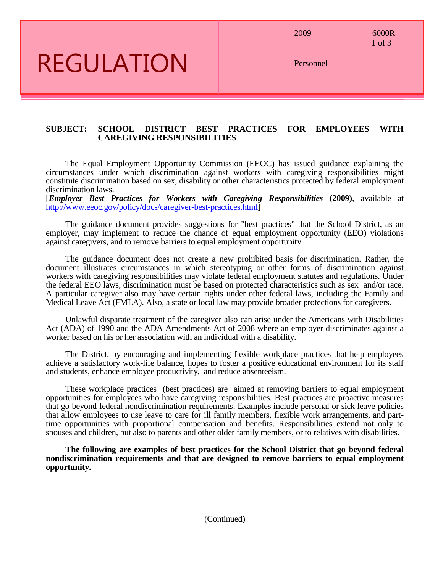2009 6000R

1 of 3

# REGULATION

Personnel

#### **SUBJECT: SCHOOL DISTRICT BEST PRACTICES FOR EMPLOYEES WITH CAREGIVING RESPONSIBILITIES**

The Equal Employment Opportunity Commission (EEOC) has issued guidance explaining the circumstances under which discrimination against workers with caregiving responsibilities might constitute discrimination based on sex, disability or other characteristics protected by federal employment discrimination laws.

[*Employer Best Practices for Workers with Caregiving Responsibilities* **(2009)**, available at [http://www.eeoc.gov/policy/docs/caregiver-best-practices.html\]](http://www.eeoc.gov/policy/docs/caregiver-best-practices.html)

The guidance document provides suggestions for "best practices" that the School District, as an employer, may implement to reduce the chance of equal employment opportunity (EEO) violations against caregivers, and to remove barriers to equal employment opportunity.

The guidance document does not create a new prohibited basis for discrimination. Rather, the document illustrates circumstances in which stereotyping or other forms of discrimination against workers with caregiving responsibilities may violate federal employment statutes and regulations. Under the federal EEO laws, discrimination must be based on protected characteristics such as sex and/or race. A particular caregiver also may have certain rights under other federal laws, including the Family and Medical Leave Act (FMLA). Also, a state or local law may provide broader protections for caregivers.

Unlawful disparate treatment of the caregiver also can arise under the Americans with Disabilities Act (ADA) of 1990 and the ADA Amendments Act of 2008 where an employer discriminates against a worker based on his or her association with an individual with a disability.

The District, by encouraging and implementing flexible workplace practices that help employees achieve a satisfactory work-life balance, hopes to foster a positive educational environment for its staff and students, enhance employee productivity, and reduce absenteeism.

These workplace practices (best practices) are aimed at removing barriers to equal employment opportunities for employees who have caregiving responsibilities. Best practices are proactive measures that go beyond federal nondiscrimination requirements. Examples include personal or sick leave policies that allow employees to use leave to care for ill family members, flexible work arrangements, and parttime opportunities with proportional compensation and benefits. Responsibilities extend not only to spouses and children, but also to parents and other older family members, or to relatives with disabilities.

**The following are examples of best practices for the School District that go beyond federal nondiscrimination requirements and that are designed to remove barriers to equal employment opportunity.**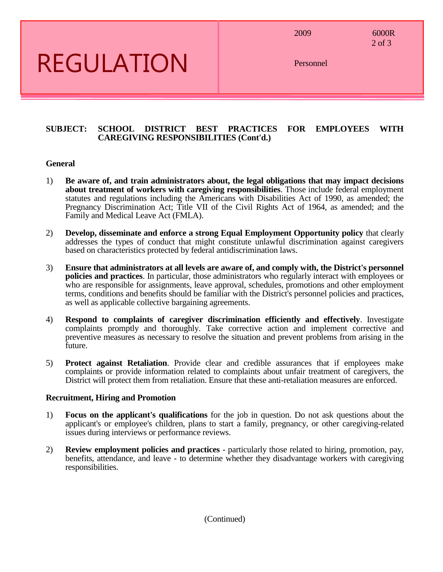2009 6000R

2 of 3

### REGULATION

Personnel

#### **SUBJECT: SCHOOL DISTRICT BEST PRACTICES FOR EMPLOYEES WITH CAREGIVING RESPONSIBILITIES (Cont'd.)**

#### **General**

- 1) **Be aware of, and train administrators about, the legal obligations that may impact decisions about treatment of workers with caregiving responsibilities**. Those include federal employment statutes and regulations including the Americans with Disabilities Act of 1990, as amended; the Pregnancy Discrimination Act; Title VII of the Civil Rights Act of 1964, as amended; and the Family and Medical Leave Act (FMLA).
- 2) **Develop, disseminate and enforce a strong Equal Employment Opportunity policy** that clearly addresses the types of conduct that might constitute unlawful discrimination against caregivers based on characteristics protected by federal antidiscrimination laws.
- 3) **Ensure that administrators at all levels are aware of, and comply with, the District's personnel policies and practices**. In particular, those administrators who regularly interact with employees or who are responsible for assignments, leave approval, schedules, promotions and other employment terms, conditions and benefits should be familiar with the District's personnel policies and practices, as well as applicable collective bargaining agreements.
- 4) **Respond to complaints of caregiver discrimination efficiently and effectively**. Investigate complaints promptly and thoroughly. Take corrective action and implement corrective and preventive measures as necessary to resolve the situation and prevent problems from arising in the future.
- 5) **Protect against Retaliation**. Provide clear and credible assurances that if employees make complaints or provide information related to complaints about unfair treatment of caregivers, the District will protect them from retaliation. Ensure that these anti-retaliation measures are enforced.

### **Recruitment, Hiring and Promotion**

- 1) **Focus on the applicant's qualifications** for the job in question. Do not ask questions about the applicant's or employee's children, plans to start a family, pregnancy, or other caregiving-related issues during interviews or performance reviews.
- 2) **Review employment policies and practices** particularly those related to hiring, promotion, pay, benefits, attendance, and leave - to determine whether they disadvantage workers with caregiving responsibilities.